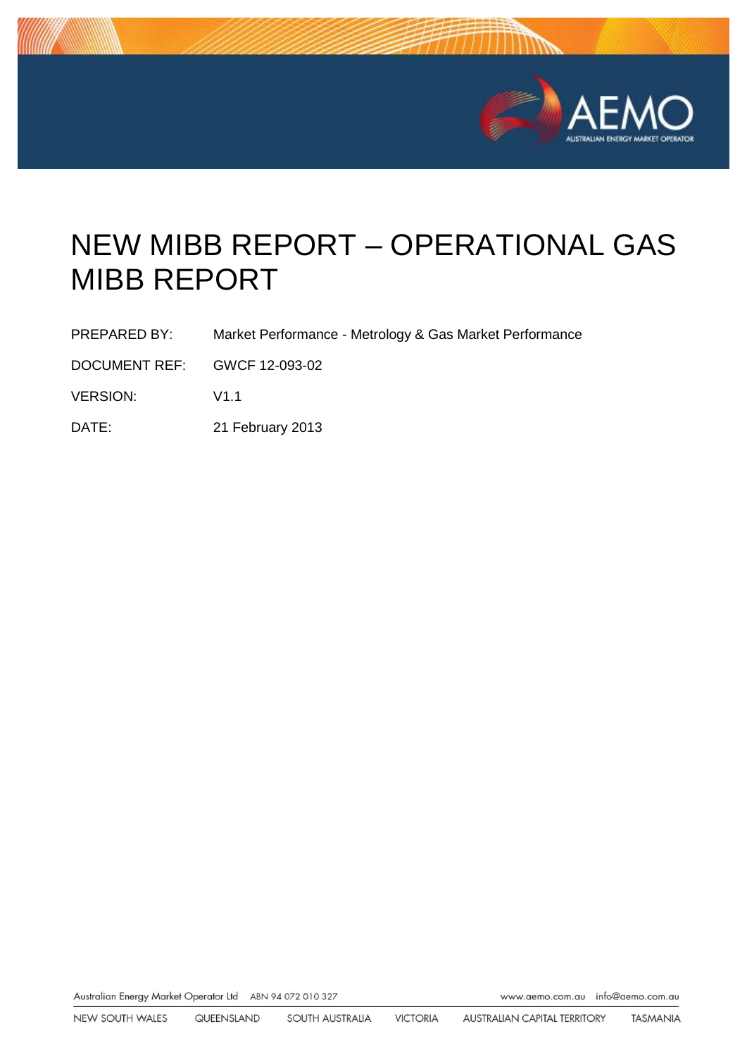

# NEW MIBB REPORT – OPERATIONAL GAS MIBB REPORT

- PREPARED BY: Market Performance Metrology & Gas Market Performance
- DOCUMENT REF: GWCF 12-093-02
- VERSION: V1.1
- DATE: 21 February 2013

Australian Energy Market Operator Ltd ABN 94 072 010 327

www.aemo.com.au info@aemo.com.au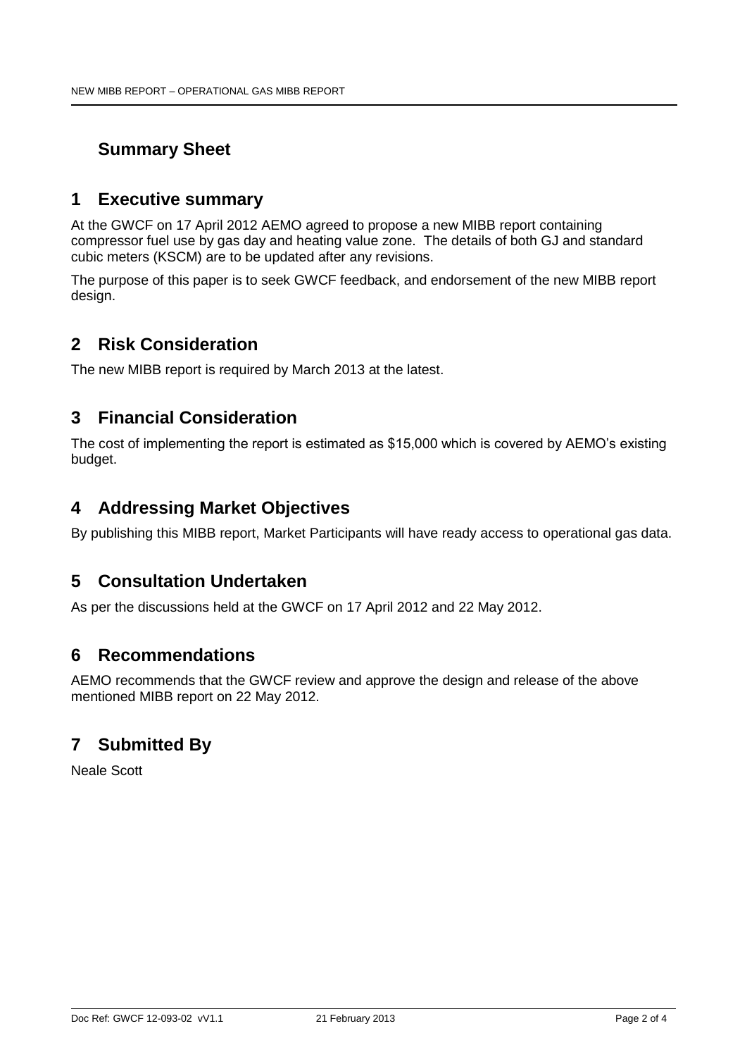# **Summary Sheet**

## **1 Executive summary**

At the GWCF on 17 April 2012 AEMO agreed to propose a new MIBB report containing compressor fuel use by gas day and heating value zone. The details of both GJ and standard cubic meters (KSCM) are to be updated after any revisions.

The purpose of this paper is to seek GWCF feedback, and endorsement of the new MIBB report design.

# **2 Risk Consideration**

The new MIBB report is required by March 2013 at the latest.

# **3 Financial Consideration**

The cost of implementing the report is estimated as \$15,000 which is covered by AEMO's existing budget.

## **4 Addressing Market Objectives**

By publishing this MIBB report, Market Participants will have ready access to operational gas data.

# **5 Consultation Undertaken**

As per the discussions held at the GWCF on 17 April 2012 and 22 May 2012.

## **6 Recommendations**

AEMO recommends that the GWCF review and approve the design and release of the above mentioned MIBB report on 22 May 2012.

# **7 Submitted By**

Neale Scott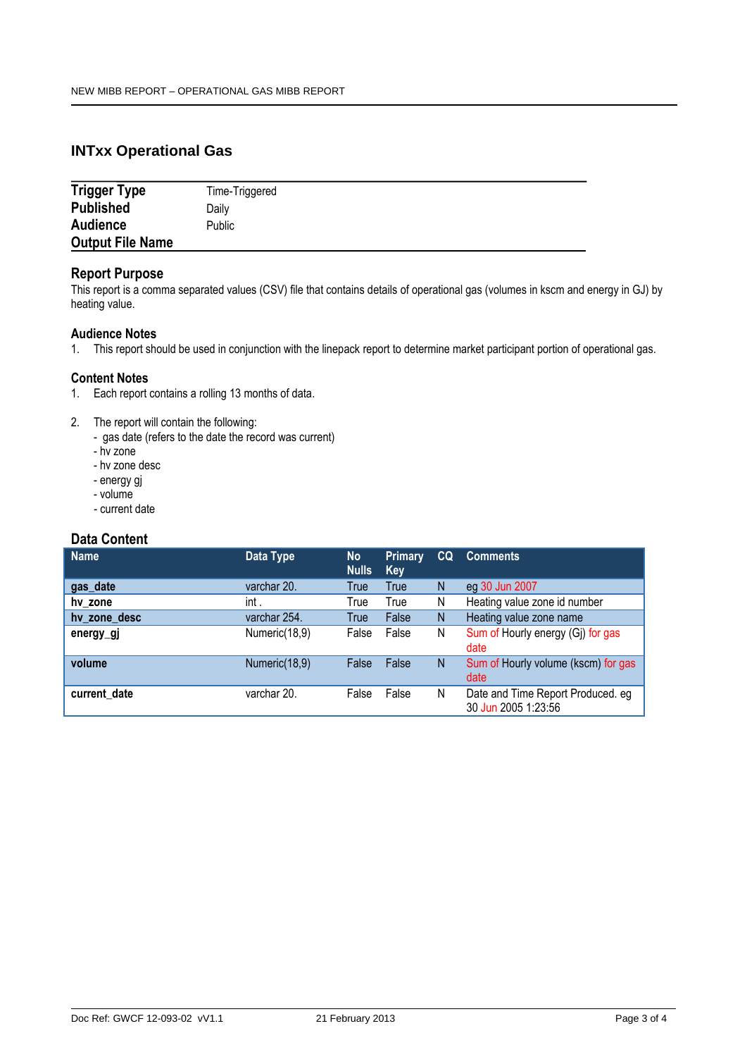### **INTxx Operational Gas**

| <b>Trigger Type</b>     | Time-Triggered |
|-------------------------|----------------|
| <b>Published</b>        | Dailv          |
| <b>Audience</b>         | <b>Public</b>  |
| <b>Output File Name</b> |                |

#### **Report Purpose**

This report is a comma separated values (CSV) file that contains details of operational gas (volumes in kscm and energy in GJ) by heating value.

#### **Audience Notes**

1. This report should be used in conjunction with the linepack report to determine market participant portion of operational gas.

#### **Content Notes**

- 1. Each report contains a rolling 13 months of data.
- 2. The report will contain the following:
	- gas date (refers to the date the record was current)
		- hv zone
	- hv zone desc
	- energy gj
	- volume
	- current date

#### **Data Content**

| <b>Name</b>  | Data Type     | <b>No</b><br><b>Nulls</b> | <b>Primary</b><br>Key | CQ | <b>Comments</b>                                          |
|--------------|---------------|---------------------------|-----------------------|----|----------------------------------------------------------|
| gas_date     | varchar 20.   | True                      | True                  | N  | eg 30 Jun 2007                                           |
| hy zone      | int.          | True                      | True                  | N  | Heating value zone id number                             |
| hy zone desc | varchar 254.  | True                      | False                 | N  | Heating value zone name                                  |
| energy_gj    | Numeric(18,9) | False                     | False                 | N  | Sum of Hourly energy (Gj) for gas<br>date                |
| volume       | Numeric(18,9) | False                     | False                 | N  | Sum of Hourly volume (kscm) for gas<br>date              |
| current date | varchar 20.   | False                     | False                 | N  | Date and Time Report Produced. eg<br>30 Jun 2005 1:23:56 |